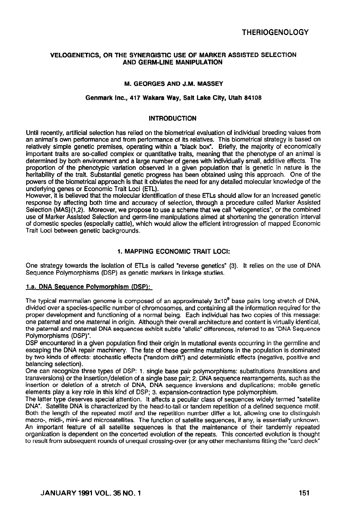# **VELOGENETICS, OR THE SYNERGlSTlC USE OF MARKER ASSISTED SELECTION AND GERM-LINE MANIPULATION**

#### **M. GEORGES AND J.M. MASSEY**

#### **Genmark Inc., 417 Wakara Way, Salt** Lake City, Utah 84108

### **INTRODUCTION**

Until recently, artificial selection has relied on the biometrical evaluation of individual breeding values from an animal's own performance and from performance of its relatives. This biometrical strategy is based on relatively simple genetic premises, operating within a "black box". Briefly, the majority of economically important traits are so-called complex or quantitative traits, meaning that the phenotype of an animal is determined by both environment and a large number of genes with individually small, additive effects. The proportion of the phenotypic variation observed in a given population that is genetic in nature is the heritability of the trait. Substantial genetic progress has been obtained using this approach. One of the powers of the biometrical approach is that it obviates the need for any detailed molecular knowledge of the underlying genes or Economic Trait Loci (ETL).

However, it is believed that the molecular identification of these ETLs should allow for an increased genetic response by affecting both time and accuracy of selection, through a procedure called Marker Assisted Selection (MAS)(1,2). Moreover, we propose to use a scheme that we call "velogenetics", or the combined use of Marker Assisted Selection and germ-line manipulations aimed at shortening the generation interval of domestic species (especially cattle), which would allow the efficient introgression of mapped Economic Trait Loci between genetic backgrounds.

# **1. MAPPING ECONOMIC TRAIT LOCI:**

One strategy towards the isolation of ETLs is called "reverse genetics" (3). It relies on the use of DNA Sequence Polymorphisms (DSP) as genetic markers in linkage studies.

## 1.a. DNA Sequence Polymorphism (DSP):

The typical mammalian genome is composed of an approximately 3x10<sup>9</sup> base pairs long stretch of DNA, divided over a species-specific number of chromosomes, and containing all the information required for the proper development and functioning of a normal being. Each individual has two copies of this message: one paternal and one maternal in origin. Although their overall architecture and content is virtually identical, the paternal and maternal DNA sequences exhibit subtle "allelic" differences, referred to as "DNA Sequence Polymorphisms (DSP)".

DSP encountered in a given population find their origin in mutational events occurring in the germline and escaping the DNA repair machinery. The fate of these germline mutations in the population is dominated by two kinds of effects: stochastic effects ("random drift") and deterministic effects (negative, positive and balancing selection).

One can recognize three types of DSP: 1. single base pair polymorphisms: substitutions (transitions and transversions) or the Insertion/deletion of a single base pair; 2. DNA sequence rearrangements, such as the insertion or deletion of a stretch of DNA, DNA sequence inversions and duplications; mobile genetic elements play a key role in this kind of DSP; 3. expansion-contraction type polymorphism.

The latter type deserves special attention. It affects a peculiar class of sequences widely termed 'satellite DNA". Satellite DNA is characterized by the head-to-tail or tandem repetition of a defined sequence motif. Both the length of the repeated motif and the repetition number differ a lot, allowing one to distinguish macro-, midi-, mini- and microsatellites. The function of satellite sequences, if any, is essentially unknown. An important feature of all satellite sequences is that the maintenance of their tandemly repeated organization is dependent on the concerted evolution of the repeats. This concerted evolution is thought to result from subsequent rounds of unequal crossing-over (or any other mechanisms fitting the "card deck"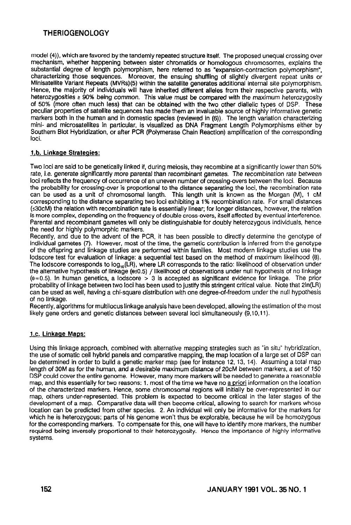# **THERIOGENOLOGY**

model (4)) which are favored by the tandemly repeated structure itself. The proposed unequal crossing over mechanism, whether happening between sister chromatids or homologous chromosomes, explains the substantial degree of length polymorphism, here referred to as "expansion-contraction polymorphism", characterizing those sequences. Moreover, the ensuing shuffling of slightly divergent repeat units or Minisatellite Variant Repeats (MVRs)(5) within the satellite generates additional internal site polymorphism. Hence, the majority of individuals will have inherited different alleles from their respective parents, with heterozygosities > 90% being common. This value must be compared with the maximum heterozygosity of 50% (more often much less) that can be obtained with the two other diallelic types of DSP. These peculiar properties of satellite sequences has made them an invaluable source of highly informative genetic markers both in the human and in domestic species (reviewed in (6)). The length variation characterizing mini- and microsatellites in particular, is visualized as DNA Fragment Length Polymorphisms either by Southern Blot Hybridization, or after PCR (Polymerase Chain Reaction) amplification of the corresponding loci.

# 1.b. Linkage Strategies:

Two loci are said to be genetically linked if, during meiosis, they recombine at a significantly lower than 50% rate, i.e. generate significantly more parental than recombinant gametes. The recombination rate between loci reflects the frequency of occurrence of an uneven number of crossing-overs between the loci. Because the probability for crossing-over is proportional to the distance separating the loci, the recombination rate can be used as a unit of chromosomal length. This length unit is known as the Morgan (M), 1 CM corresponding to the distance separating two loci exhibiting a 1% recombination rate. For small distances (GOcM) the relation with recombination rate is essentially linear; for longer distances, however, the relation is more complex, depending on the frequency of double cross-overs, itself affected by eventual interference. Parental and recombinant gametes will only be distinguishable for doubly heterozygous individuals, hence the need for highly polymorphic markers.

Recently, and due to the advent of the PCR, it has been possible to directly determine the genotype of individual gametes (7). However, most of the time, the gametic contribution is inferred from the genotype of the offspring and linkage studies are performed within families. Most modern linkage studies use the lodscore test for evaluation of linkage: a sequential test based on the method of maximum likelihood (8). The lodscore corresponds to  $log_{10}(LR)$ , where LR corresponds to the ratio: likelihood of observation under the alternative hypothesis of linkage (es0.5) / likelihood of observations under null hypothesis of no linkage  $(e=0.5)$ . In human genetics, a lodscore > 3 is accepted as significant evidence for linkage. The prior probability of linkage between two loci has been used to justify this stringent critical value. Note that 2ln(LR) can be used as well, having a chi-square distribution with one degree-of-freedom under the null hypothesis of no linkage.

Recently, algorithms for multilocus linkage analysis have been developed, allowing the estimation of the most likely gene orders and genetic distances between several loci simultaneously (9,10,11).

# 1.c. Linkage Maps:

Using this linkage approach, combined with alternative mapping strategies such as "in situ" hybridization, the use of somatic cell hybrid panels and comparative mapping, the map location of a large set of DSP can be determined in order to build a genetic marker map (see for instance 12, 13, 14). Assuming a total map length of 30M as for the human, and a desirable maximum distance of 20cM between markers, a set of 150 DSP could cover the entire genome. However, many more markers will be needed to generate a reasonable map, and this essentially for two reasons: 1. most of the time we have no a priori information on the location of the characterized markers. Hence, some chromosomal regions will initially be over-represented in our map, others under-represented. This problem is expected to become critical in the later stages of the development of a map. Comparative data will then become critical, allowing to search for markers whose location can be predicted from other species. 2. An individual will only be informative for the markers for which he is heterozygous; parts of his genome won't thus be explorable, because he will be homozygous for the corresponding markers. To compensate for this, one will have to identify more markers, the number required being inversely proportional to their heterozygosity. Hence the importance of highly informative systems.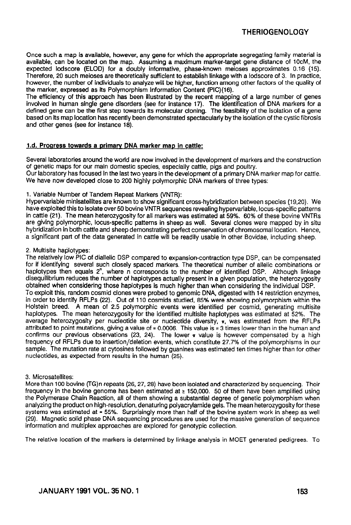Once such a map is available, however, any gene for which the appropriate segregating family material is available, can be located on the map. Assuming a maximum marker-target gene distance of lOcM, the expected lodscore (ELOD) for a doubly informative, phase-known meioses approximates 0.16 (15). Therefore, 20 such meioses are theoretically sufficient to establish linkage with a lodscore of 3. In practice, however, the number of individuals to analyze will be higher, function among other factors of the quality of the marker, expressed as its Polymorphism Information Content (PIC)(16).

The efficiency of this approach has been illustrated by the recent mapping of a large number of genes involved in human single gene disorders (see for instance 17). The identification of DNA markers for a defined gene can be the first step towards its molecular cloning. The feasibility of the isolation of a gene based on its map location has recently been demonstrated spectacularly by the isolation of the cystic fibrosis and other genes (see for instance 18).

# 1.d. Progress towards a primary DNA marker map in cattle:

Several laboratories around the world are now involved in the development of markers and the construction of genetic maps for our main domestic species, especially cattle, pigs and poultry. Our laboratory has focused in the last two years in the development of a primary DNA marker map for cattle. We have now developed close to 200 highly polymorphic DNA markers of three types:

#### 1. Variable Number of Tandem Repeat Markers (VNTR):

Hypervariable minisatellites are known to show significant cross-hybridization between species (19,20). We have exploited this to isolate over 50 bovine VNTR sequences revealing hypervariable, locus-specific patterns in cattle (21). The mean heterozygosity for all markers was estimated at 59%. 60% of these bovine VNTRs are giving polymorphic, locus-specific patterns in sheep as well. Several clones were mapped by in situ hybridization in both cattle and sheep demonstrating perfect conservation of chromosomal location. Hence, a significant part of the data generated in cattle will be readily usable in other Bovidae, including sheep.

#### 2. Multisite haplotypes:

The relatively low PIC of diallelic DSP compared to expansion-contraction type DSP, can be compensated for if identifying several such closely spaced markers. The theoretical number of allelic combinations or haplotypes then equals 2<sup>n</sup>, where n corresponds to the number of identified DSP. Although linkage disequilibrium reduces the number of haplotypes actually present in a given population, the heterozygosity obtained when considering those haplotypes is much higher than **when considering the individual** DSP. To exploit this, random cosmid clones were probed to genomic DNA, digested with 14 restriction enzymes, in order to identify RFLPs (22). Out of 110 cosmids studied, 85% were showing polymorphism within the Holstein breed. A mean of 2.5 polymorphic events were identified per cosmid, generating multisite haplotypes. The mean heterozygosity for the identified multisite haplotypes was estimated at 52%. The average heterozygosity per nucleotide site or nucleotide diversity, r, was estimated from the RFLPs attributed to point mutations, giving a value of  $\approx 0.0006$ . This value is  $\approx 3$  times lower than in the human and confirms our previous observations (23, 24). The lower  $\pi$  value is however compensated by a high frequency of RFLPs due to insertion/deletion events, which constitute 27.7% of the polymorphisms in our sample. The mutation rate at cytosines followed by guanines was estimated ten times higher than for other nucleotides, as expected from results in the human (25).

#### 3. Microsatellites:

More than 100 bovine (TG)n repeats (26,27,28) have been isolated and characterized by sequencing. Their frequency in the bovine genome has been estimated at  $\ge$  150,000. 50 of them have been amplified using the Polymerase Chain Reaction, all of them showing a substantial degree of genetic polymorphism when analyzing the product on high-resolution, denaturing polyacrylamide gels. The mean heterozygosity for these systems was estimated at  $\approx$  55%. Surprisingly more than half of the bovine system work in sheep as well (29). Magnetic solid phase DNA sequencing procedures are used for the massive generation of sequence information and multiplex approaches are explored for genotypic collection.

The relative location of the markers is determined by linkage analysis in MOET generated pedigrees. To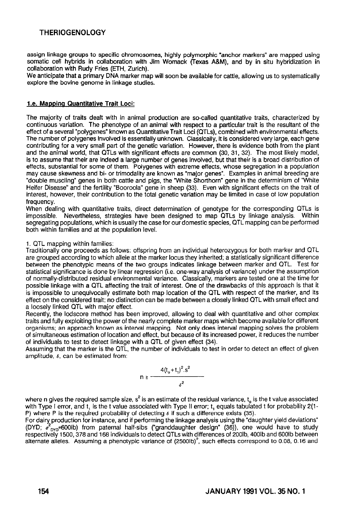assign linkage groups to specific chromosomes, highly polymorphic "anchor markers" are mapped using somatic cell hybrids in collaboration with Jim Womack (Texas A&M), and bv in situ hybridization in collaboration with Rudy Fries (ETH, Zurich).

We anticipate that a primary DNA marker map will soon be available for cattle, allowing us to systematically explore the bovine genome in linkage studies.

# 1.e. Mapping Quantitative Trait Loci:

The majority of traits dealt with in animal production are so-called quantitative traits, characterized by continuous variation. The phenotype of an animal with respect to a particular trait is the resultant of the effect of a several "polygenes" known as Quantitative Trait Loci (QTLs), combined with environmental effects. The number of polygenes involved is essentially unknown. Classicallv. it is considered very large, each gene contributing for a very small part of the genetic variation. However, there is evidence both from the plant and the animal world, that QTLs with significant effects are common (30, 31, 32). The most likely model, is to assume that their are indeed a large number of genes involved, but that their is a broad distribution of effects, substantial for some of them. Polygenes with extreme effects, whose segregation in a population may cause skewness and bi- or trimodality are known as "major genes". Examples in animal breeding are "double muscling" genes in both cattle and pigs, the "White Shorthorn" gene in the determinism of "White Heifer Disease" and the fertility "Booroola" gene in sheep (33). Even with significant effects on the trait of interest, however, their contribution to the total genetic variation may be limited in case of low population frequency.

When dealing with quantitative traits, direct determination of genotype for the corresponding QTLs is impossible. Nevertheless, strategies have been designed to map QTLs by linkage analysis. Within segregating populations, which is usually the case for our domestic species, QTL mapping can be performed both within families and at the population level.

# 1. QTL mapping within families:

Traditionally one proceeds as follows: offspring from an individual heterozygous for both marker and QTL are grouped according to which allele at the marker locus they inherited; a statistically significant difference between the phenotypic means of the two groups indicates linkage between marker and QTL. Test for statistical significance is done by linear regression (i.e. one-way analysis of variance) under the assumption of normally-distributed residual environmental variance. Classically, markers are tested one at the time for possible linkage with a QTL affecting the trait of interest. One of the drawbacks of this approach is that it is impossible to unequivocally estimate both map location of the QTL with respect of the marker, and its effect on the considered trait; no distinction can be made between a closely linked QTL with small effect and a loosely linked QTL with major effect.

Recently, the lodscore method has been improved, allowing to deal with quantitative and other complex traits and fully exploiting the power of the nearly complete marker maps which become available for different organisms; an approach known as interval mapping. Not only does interval mapping solves the problem of simultaneous estimation of location and effect, but because of its increased power, it reduces the number of individuals to test to detect linkage with a QTL of given effect (34).

Assuming that the marker is the QTL, the number of individuals to test in order to detect an effect of given amplitude,  $s$ , can be estimated from:

$$
n \geq \frac{4(t_o + t_1)^2 . s^2}{s^2}
$$

where n gives the required sample size,  $s^2$  is an estimate of the residual variance,  $t_a$  is the t value associated with Type I error, and t, is the t value associated with Type II error: t, equals tabulated t for probability 2(1-P) where P is the required probability of detecting  $\delta$  if such a difference exists (35).

For dairy production for instance, and if performing the linkage analysis using the "daughter yield deviations" (DYD;  $\sigma_{\text{OVD}}^2$ =600lb) from paternal half-sibs ("granddaughter design" (36)), one would have to study respectively 1500,378 and 168 individuals to detect QTLs with differences of 200lb, 4001b and 6001b between alternate alleles. Assuming a phenotypic variance of (2500lb)'. such effects correspond to 0.08, 0.16 and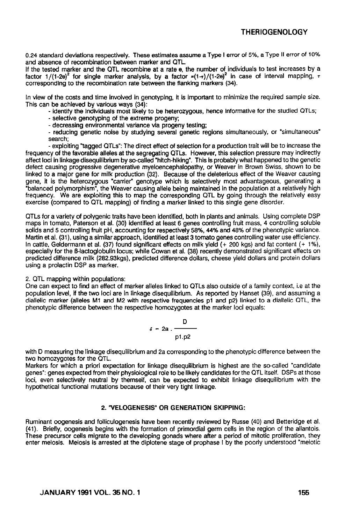0.24 standard deviations respectively. These estimates assume a Type I error of 5%, a Type II error of 10% and absence of recombination between marker and QTL.

If the tested marker and the QTL recombine at a rate e, the number of individuals to test increases by a factor 1/(1-2e)<sup>2</sup> for single marker analysis, by a factor  $\approx (1-\tau)/(1-2\Theta)^2$  in case of interval mapping,  $\tau$ corresponding to the recombination rate between the flanking markers (34).

In view of the costs and time involved in genotyping, it is important to minimize the required sample size. This can be achieved by various ways (34):

- identify the individuals most likely to be heterozygous, hence informative for the studied QTLs;

- selective genotyping of the extreme progeny;
- decreasing environmental variance via progeny testing;
- reducing genetic noise by studying several genetic regions simultaneously, or "simultaneous" search;

- exploiting "tagged QTLs": The direct effect of selection for a production trait will be to increase the frequency of the favorable alleles at the segregating QTLs. However, this selection pressure may indirectly affect loci in linkage disequilibrium bv so-called 'hitch-hikino'. This Is probably what happened to the genetic defect causing progressive degenerative myeloencephalopathy, or Weaver in Brown Swiss, shown to be linked to a major gene for milk production (32). Because of the deleterious effect of the Weaver causing gene, it is the heterozygous "carrier" genotype which is selectively most advantageous, generating a "balanced polymorphism", the Weaver causing allele being maintained in the population at a relatively high frequency. We are exploiting this to map the corresponding QTL by going through the relatively easy exercise (compared to QTL mapping) of finding a marker linked to this single gene disorder.

QTLs for a variety of polygenic traits have been identified, both in plants and animals. Using complete DSP maps in tomato, Paterson et al. (30) identified at least 6 genes controlling fruit mass, 4 controlling soluble solids and 5 controlling fruit pH, accounting for respectively 58%, 44% and 48% of the phenotypic variance. Martin et al. (31). using a similar approach, identified at least 3 tomato genes controlling water use efficiency. In cattle, Geldermann et al. (37) found significant effects on milk yield (+ 200 kgs) and fat content (+ I%), especially for the B-lactoglobulin locus; while Cowan et al. (38) recently demonstrated significant effects on predicted difference milk (282.93kgs) predicted difference dollars, cheese yield dollars and protein dollars using a prolactin DSP as marker.

2. QTL mapping within populations:

One can expect to find an effect of marker alleles linked to QTLs also outside of a family context, i.e at the population level, ff the two loci are in linkage disequilibrium. As reported by Hanset (39), and assuming a diallelic marker (alleles Ml and M2 with respective frequencies pl and p2) linked to a diallelic QTL, the phenotypic difference between the respective homozygotes at the marker loci equals:

$$
s = 2a \cdot \frac{D}{p1.p2}
$$

with D measuring the linkage disequilibrium and 2a corresponding to the phenotypic difference between the two homozygotes for the QTL.

Markers for which a priori expectation for linkage disequilibrium is highest are the so-called "candidate genes": genes expected from their physiological role to be likely candidates for the QTL itself. DSPs at those loci, even selectively neutral by themself, can be expected to exhibit linkage disequilibrium with the hypothetical functional mutations because of their very tight linkage.

# 2. 'YELOGENESIS" OR GENERATION SKIPPING:

Ruminant oogenesis and folliculogenesis have been recently reviewed by Russe (40) and Betteridge et al. (41). Briefly, oogenesls begins with the formation of primordial germ cells in the region of the allantois. These precursor cells migrate to the developing gonads where after a period of mitotic proliferation, they enter meiosis. Meiosis is arrested at the diplotene stage of prophase I by the poorly understood "meiotic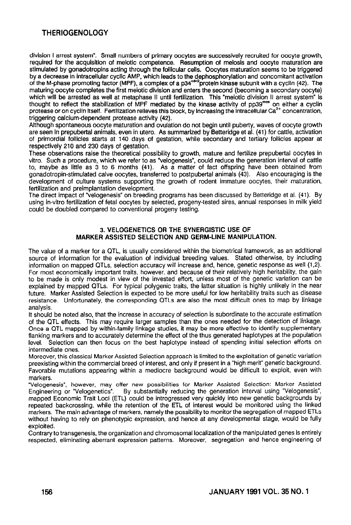# **THERIOGENOLOGY**

division I arrest system". Small numbers of primary oocytes are successively recruited for oocyte growth, required for the acquisition of meiotic competence. Resumption of meiosis and oocyte maturation are stimulated by gonadotropins acting through the follicular cells. Oocytes maturation seems to be triggered by a decrease in intracellular cyclic AMP, which leads to the dephosphorylation and concomitant activation of the M-phase promoting factor (MPF), a complex of a p34<sup>-orot</sup> protein kinase subunit with a cyclin (42). The maturing oocyte completes the first meiotic division and enters the second (becoming a secondary oocyte) which will be arrested as well at metaphase II until fertilization. This "meiotic division II arrest system" is thought to reflect the stabilization of MPF mediated by the kinase activity of pp39<sup>mos</sup> on either a cyclin protease or on cyclin itself. Fertilization relieves this block, by increasing the intracellular Ca<sup>2+</sup> concentration, triggering calcium-dependent protease activity (42).

Although spontaneous oocyte maturation and ovulation do not begin until puberty, waves of oocyte growth are seen in prepubertal animals, even in utero. As summarized by Betteridge et al. (41) for cattle, activation of primordial follicles starts at 140 days of gestation, while secondary and tertiary follicles appear at respectively 210 and 230 days of gestation.

These observations raise the theoretical possibility to growth, mature and fertilize prepubertal oocytes in vitro. Such a procedure, which we refer to as "velogenesis", could reduce the generation interval of cattle to, maybe as little as 3 to 6 months (41). As a matter of fact offspring have been obtained from gonadotropin-stimulated calve oocytes. transferred to postpubertal animals (43). Also encouraging is the development of culture systems supporting the growth of rodent immature oocytes, their maturation, fertilization and preimplantation development.

The direct impact of "velogenesis" on breeding programs has been discussed by Betteridge et al. (41). By using in-vitro fertilization of fetal oocytes by selected, progeny-tested sires, annual responses in milk yield could be doubled compared to conventional progeny testing.

#### 3. VELOGENETICS OR THE SYNERGISTIC USE OF MARKER ASSISTED SELECTION AND GERM-LINE MANIPULATION.

The value of a marker for a QTL, is usually considered within the biometrical framework, as an additional source of information for the evaluation of individual breeding values. Stated otherwise, by including information on mapped QTLs, selection accuracy will increase and, hence, genetic response as well (1,2). For most economically important traits, however, and because of their relatively high heritability, the gain to be made is only modest in view of the invested effort, unless most of the genetic variation can be explained by mapped QTLs. For typical polygenic traits, the latter situation is highly unlikely in the near future. Marker Assisted Selection is expected to be more useful for low heritability traits such as disease resistance. Unfortunately, the corresponding QTLs are also the most difficult ones to map by linkage analysis.

It should be noted also, that the increase in accuracy of selection is subordinate to the accurate estimation of the QTL effects. This may require larger samples than the ones needed for the detection of linkage. Once a QTL mapped by within-family linkage studies, it may be more effective to identify supplementary flanking markers and to accurately determine the effect of the thus generated haplotypes at the population level. Selection can then focus on the best haplotype instead of spending initial selection efforts on intermediate ones.

Moreover, this classical Marker Assisted Selection approach is limited to the exploitation of genetic variation preexisting within the commercial breed of interest, and only if present in a "high merit" genetic background. Favorable mutations appearing within a mediocre background would be difficult to exploit, even with markers.

"Velogenesis", however, may offer new possibilities for Marker Assisted Selection: Marker Assisted Engineering or "Velogenetics". By substantially reducing the generation interval using "Velogenesis", mapped Economic Trait Loci (ETL) could be introgressed very quickly into new genetic backgrounds by repeated backcrossing, while the retention of the ETL of interest would be monitored using the linked markers. The main advantage of markers, namely the possibility to monitor the segregation of mapped ETLs without having to rely on phenotypic expression, and hence at any developmental stage, would be fully exploited.

Contrary to transgenesis, the organization and chromosomal localization of the manipulated genes is entirely respected, eliminating aberrant expression patterns. Moreover, segregation and hence engineering of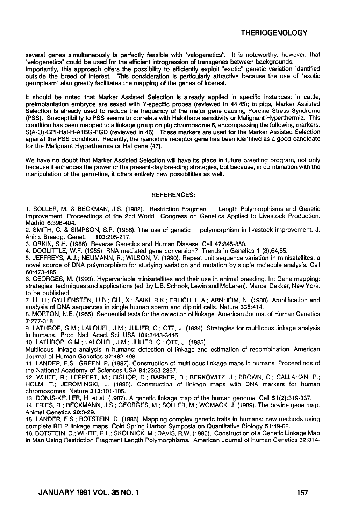several genes simultaneously is perfectly feasible with "velogenetics'. It is noteworthy, however, that "velogenetics" could be used for the efficient introgression of transgenes between backgrounds.

Importantly, this approach offers the possibility to efficiently exploit 'exotic' genetic variation identified outside the breed of interest. This consideration is particularly attractive because the use of "exotic germplasm" also greatly facilitates the mapping of the genes of interest.

It should be noted that Marker Assisted Selection is already applied in specific instances: in cattle, preimplantation embryos are sexed with Y-specific probes (reviewed in 44,45); in pigs, Marker Assisted Selection is already used to reduce the frequency of the major gene causing Porcine Stress Syndrome (PSS). Susceptibility to PSS seems to correlate with Halothane sensitivity or Malignant Hyperthermia. This condition has been mapped to a linkage group on pig chromosome 6, encompassing the following markers: S(A-0)-GPI-Hal-H-Al BG-PGD (reviewed in 46). These markers are used for the Marker Assisted Selection against the PSS condition. Recently, the ryanodine receptor gene has been identified as a good candidate for the Malignant Hyperthermia or Hal gene (47).

We have no doubt that Marker Assisted Selection will have its place in future breeding program, not only because it enhances the power of the present-day breeding strategies, but because, in combination with the manipulation of the germ-line, it offers entirely new possibilities as well.

# REFERENCES:

1. SOLLER, M. & BECKMAN, J.S. (1982). Restriction Fragment Length Polymorphisms and Genetic Improvement. Proceedings of the 2nd World Congress on Genetics Applied to Livestock Production. Madrid 6:396-404.

2. SMITH, C. & SIMPSON, S.P. (1986). The use of genetic polymorphism in livestock improvement. J. 2.<br>Anim. Breeda. Genet. 103:205-217. Anim. Breedg. Genet.

3. ORKIN, S.H. (1986). Reverse Genetics and Human Disease. Cell 47:845-850.

4. DOOLITTLE, W.F. (1985). RNA mediated gene conversion? Trends in Genetics 1 (3),64,65.

5. JEFFREYS, A.J.; NEUMANN, R.; WILSON, V. (1990). Repeat unit sequence variation in minisatellites: a novel source of DNA polymorphism for studying variation and mutation by single molecule analysis. Cell 60~473-485.

6. GEORGES, M. (1990). Hypervariable minisatellites and their use in animal breeding. In: Gene mapping: strategies, techniques and applications (ed. by L.B. Schook. Lewin and McLaren). Marcel Dekker, New York. to be published.

7. LI, H.; GYLLENSTEN, U.B.; CUI, X.; SAIKI, R.K.; ERLICH, H.A.; ARNHEIM, N. (1988). Amplification and analysis of DNA sequences in single human sperm and diploid cells. Nature 335414.

8. MORTON, N.E. (1955). Sequential tests for the detection of linkage. American Journal of Human Genetics 7:277-318.

9. LATHROP, G.M.; LALOUEL, J.M.; JULIER, C.; OTT, J. (1984). Strategies for multilocus linkage analysis in humans. Proc. Natl. Acad. Sci. USA 101:3443-3446.

10. LATHROP. G.M.: LALOUEL. J.M.: JULIER. C.: OTT. J. (1985)

Multilocus linkage analysis in humans: detection of linkage and estimation of recombination. American Journal of Human Genetics 37:482-498.

11. LANDER, E.S.; GREEN, P. (1987). Construction of multilocus linkage maps in humans. Proceedings of the National Academy of Sciences USA 84:2363-2367.

12. WHITE, R.; LEPPERT, M.; BISHOP, D.; BARKER, D.; BERKOWITZ. J.; BROWN, C.; CALLAHAN, P.; HOLM. T.; JEROMINSKI, L. (1985). Construction of linkage mapa with DNA markers for human chromosomes. Nature 313:101-105.

13. DONIS-KELLER, H. et al. (1987). A genetic linkage map of the human genome. Cell 51(2):319-337.

14. FRIES, R.; BECKMANN, J.S.; GEORGES, M.; SOLLER, M.; WOMACK, J. (1989). The bovine gene map. Animal Genetics 20:3-29.

15. LANDER, E.S.; BOTSTEIN, D. (1986). Mapping complex genetic traits in humans: new methods using complete RFLP linkage maps. Cold Spring Harbor Symposia on Quantitative Biology 51:49-62.

16. BOTSTEIN, D.; WHITE, R.L.; SKOLNICK, M.; DAVIS. R.W. (1980). Construction of a Genetic Linkage Map in Man Using Restriction Fragment Length Polymorphisms. American Journal of Human Genetics 32:314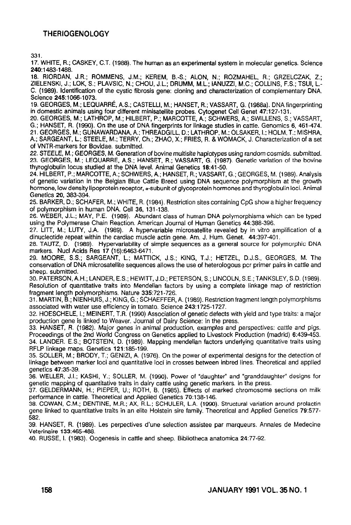331.

17. WHITE, R.; CASKEY, C.T. (1988). The human as an experimental system in molecular genetics. Science 240:1483-1488.

18. RIORDAN, JR; ROMMENS, J.M.; KEREM, B.-S.; ALON, N.; ROZMAHEL, R.; GRZELCZAK, Z.; ZIELENSKI, J.; LOK, S.; PLAVSIC, N.; CHOU, J.L; DRUMM, ML.; IANUZZI, M.C.; COLLINS, F.S.; TSUI, L.- **C.** (1989). Identification of the cystic fibrosis gene: cloning and characterization of complementary DNA. Science 245:1066-1073.

19. GEORGES, M.; LEQUARRE, A.S.; CASTELLI, M.; HANSET, R.; VASSART, G. (1988a). DNA fingerprinting in domestic animals using four different minisatellite probes. Cytogenet Cell Genet 47:127-131.

20. GEORGES, M.; LATHROP, M.; HILBERT, P.; MARCOlTE, A.; SCHWERS, A.; SWILLENS, S.; VASSART, G.; HANSET, R. (1990). On the use of DNA fingerprints for linkage studies in cattle. Genomics 6, 461-474. 21. GEORGES, M.; GUNAWARDANA, A.; THREADGILL, D.; LATHROP, M.; OLSAKER, 1.; HOLM, T.; MISHRA, A.; SARGEANT, L.; STEELE, M.; TERRY, Ch.; ZHAO, X.; FRIES, R. & WOMACK, J. Characterization of a set of VNTR-markers for Bovidae. submitted.

22. STEELE, M.; GEORGES, M. Generation of bovine multisite hapfotypes using random cosmids. submitted. 23. GEORGES, M.; LEQUARRE, A.S.; HANSET, R.; VASSART, G. (1987). Genetic variation of the bovine thyroglobulin locus studied at the DNA level. Animal Genetics 18:41-50.

24. HILBERT, P.; MARCOTTE, A.; SCHWERS, A.; HANSET, R.; VASSART, G.; GEORGES. M. (1989). Analysis of genetic variation in the Belgian Blue Cattle Breed using DNA sequence polymorphism at the growth hormone, low density lipoprotein receptor, a-subunit of glycoprotein hormones and thyroglobulin loci. Animal Genetics 20, 383-394.

25. BARKER, D.; SCHAFER, M.; WHITE, R. (1984). Restriction sites containing CpG show a higher frequency of polymorphism in human DNA. Cell 36, 131-138.

26. WEBER, J.L.; MAY, P.E. (1989). Abundant class of human DNA polymorphisms which can be typed using the Polymerase Chain Reaction. American Journal of Human Genetics 44:388-396.

27. LIT, M.; LUTY, J.A. (1989). A hypervariable microsatellite revealed by in vitro amplification of a dinucleotide repeat within the cardiac muscle actin gene. Am. J. Hum. Genet. 44:397-401.

28. TAUTZ, D. (1989). Hypervariability of simple sequences as a general source for polymorphic DNA markers. Nucl Acids Res 17 (16):6463-6471.

29. MOORE, S.S.; SARGEANT, L.; MATTICK, J.S.; KING, T.J.; HETZEL, D.J.S., GEORGES, M. The conservation of DNA microsatellite sequences allows the use of heterologous per primer pairs in cattle and sheep. submitted.

30. PATERSON,A.H.; LANDER, ES.; HEWITT, J.D.; PETERSON, S.; LINCOLN, S.E.;TANKSLEY, S.D. (1989). Resolution of quantitative traits into Mendelian factors by using a complete linkage map of restriction fragment length polymorphisms. Nature 335:721-726.

31. MARTIN, B.; NIENHUIS, J.; KING, G.; SCHAEFFER, A. (1989). Restriction fragment length polymorphisms associated with water use efficiency in tomato. Science 243:1725-1727.

32. HOESCHELE, I.; MEINERT, T.R. (1990) Association of genetic defects with yield and type tiaits: a major production gene is linked to Weaver. Journal of Dairy Science: in the press.

33. HANSET, R. (1982). Major genes in animal production, examples and perspectives: cattle and pigs. Proceedings of the 2nd World Congress on Genetics applied to Livestock Production (madrid) 6:439-453. 34. LANDER. E.S.; BOTSTEIN, D. (1989). Mapping mendelian factors underlying quantitative traits using RFLP linkage maps. Genetics 121:186-199.

35. SOLLER, M.; BRODY, T.; GENIZI, A. (1976). On the power of experimental designs for the detection of linkage between marker loci and quantitative loci in crosses between inbred lines. Theoretical and applied genetics 47:35-39.

36. WELLER, J.I.; KASHI, Y.; SOLLER, M. (1990). Power of "daughter" and "granddaughter" designs for genetic mapping of quantitative traits in dairy cattle using genetic markers. in the press.

37. GELDERMANN, H.; PIEPER, U.; ROTH, B. (1985). Effects of marked chromosome sections on milk performance in cattle. Theoretical and Applied Genetics 70:138-146.

38. COWAN, CM.; DENTINE, M.R.; AX, R.L.; SCHULER, L.A. (1990). Structural variation around prolactin gene linked to quantitative traits in an elite Holstein sire family. Theoretical and Applied Genetics 79:577- 582.

39. HANSET, R. (1989). Les perpectives d'une selection assistee par marqueurs. Annales de Medecine Veterinaire 133:465-488

40. RUSSE. I. (1983). Oogenesis in cattle and sheep. Bibliotheca anatomica 24:77-92.